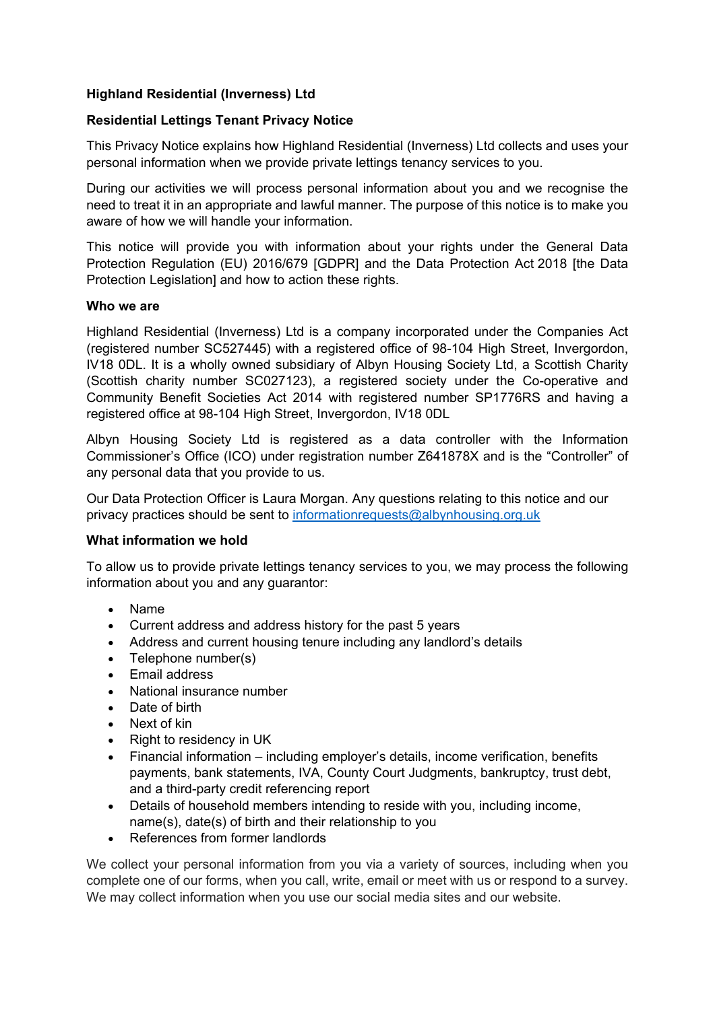### **Highland Residential (Inverness) Ltd**

### **Residential Lettings Tenant Privacy Notice**

This Privacy Notice explains how Highland Residential (Inverness) Ltd collects and uses your personal information when we provide private lettings tenancy services to you.

During our activities we will process personal information about you and we recognise the need to treat it in an appropriate and lawful manner. The purpose of this notice is to make you aware of how we will handle your information.

This notice will provide you with information about your rights under the General Data Protection Regulation (EU) 2016/679 [GDPR] and the Data Protection Act 2018 [the Data Protection Legislation] and how to action these rights.

#### **Who we are**

Highland Residential (Inverness) Ltd is a company incorporated under the Companies Act (registered number SC527445) with a registered office of 98-104 High Street, Invergordon, IV18 0DL. It is a wholly owned subsidiary of Albyn Housing Society Ltd, a Scottish Charity (Scottish charity number SC027123), a registered society under the Co-operative and Community Benefit Societies Act 2014 with registered number SP1776RS and having a registered office at 98-104 High Street, Invergordon, IV18 0DL

Albyn Housing Society Ltd is registered as a data controller with the Information Commissioner's Office (ICO) under registration number Z641878X and is the "Controller" of any personal data that you provide to us.

Our Data Protection Officer is Laura Morgan. Any questions relating to this notice and our privacy practices should be sent to [informationrequests@albynhousing.org.uk](mailto:informationrequests@albynhousing.org.uk)

#### **What information we hold**

To allow us to provide private lettings tenancy services to you, we may process the following information about you and any guarantor:

- Name
- Current address and address history for the past 5 years
- Address and current housing tenure including any landlord's details
- Telephone number(s)
- Email address
- National insurance number
- Date of birth
- Next of kin
- Right to residency in UK
- Financial information including employer's details, income verification, benefits payments, bank statements, IVA, County Court Judgments, bankruptcy, trust debt, and a third-party credit referencing report
- Details of household members intending to reside with you, including income, name(s), date(s) of birth and their relationship to you
- References from former landlords

We collect your personal information from you via a variety of sources, including when you complete one of our forms, when you call, write, email or meet with us or respond to a survey. We may collect information when you use our social media sites and our website.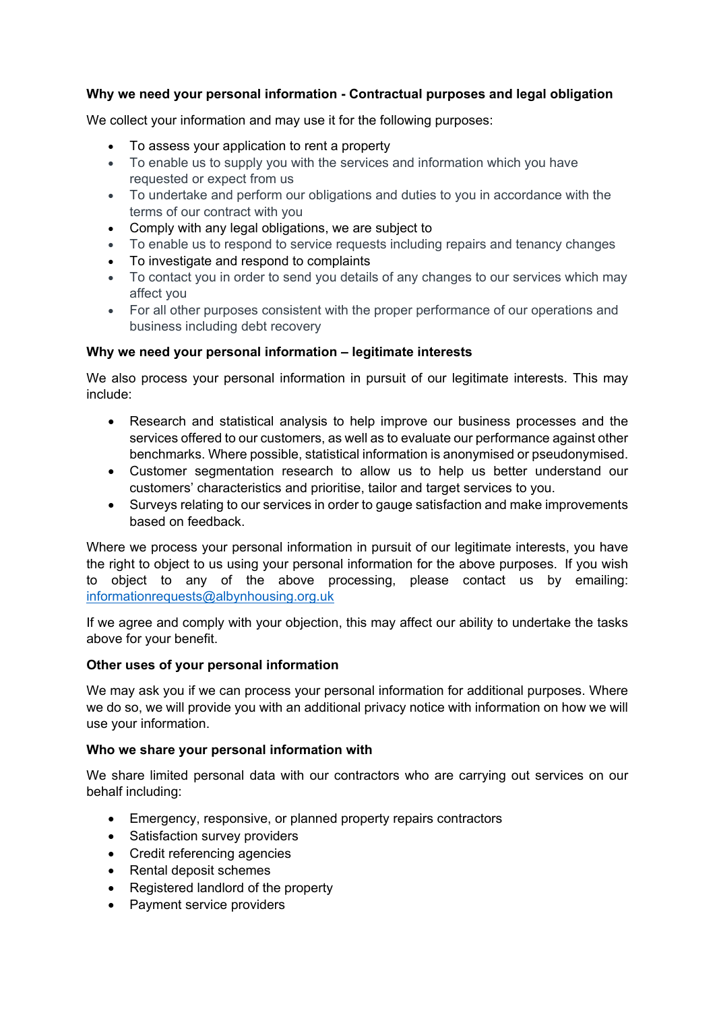## **Why we need your personal information - Contractual purposes and legal obligation**

We collect your information and may use it for the following purposes:

- To assess your application to rent a property
- To enable us to supply you with the services and information which you have requested or expect from us
- To undertake and perform our obligations and duties to you in accordance with the terms of our contract with you
- Comply with any legal obligations, we are subject to
- To enable us to respond to service requests including repairs and tenancy changes
- To investigate and respond to complaints
- To contact you in order to send you details of any changes to our services which may affect you
- For all other purposes consistent with the proper performance of our operations and business including debt recovery

## **Why we need your personal information – legitimate interests**

We also process your personal information in pursuit of our legitimate interests. This may include:

- Research and statistical analysis to help improve our business processes and the services offered to our customers, as well as to evaluate our performance against other benchmarks. Where possible, statistical information is anonymised or pseudonymised.
- Customer segmentation research to allow us to help us better understand our customers' characteristics and prioritise, tailor and target services to you.
- Surveys relating to our services in order to gauge satisfaction and make improvements based on feedback.

Where we process your personal information in pursuit of our legitimate interests, you have the right to object to us using your personal information for the above purposes. If you wish to object to any of the above processing, please contact us by emailing: [informationrequests@albynhousing.org.uk](mailto:informationrequests@albynhousing.org.uk)

If we agree and comply with your objection, this may affect our ability to undertake the tasks above for your benefit.

#### **Other uses of your personal information**

We may ask you if we can process your personal information for additional purposes. Where we do so, we will provide you with an additional privacy notice with information on how we will use your information.

#### **Who we share your personal information with**

We share limited personal data with our contractors who are carrying out services on our behalf including:

- Emergency, responsive, or planned property repairs contractors
- Satisfaction survey providers
- Credit referencing agencies
- Rental deposit schemes
- Registered landlord of the property
- Payment service providers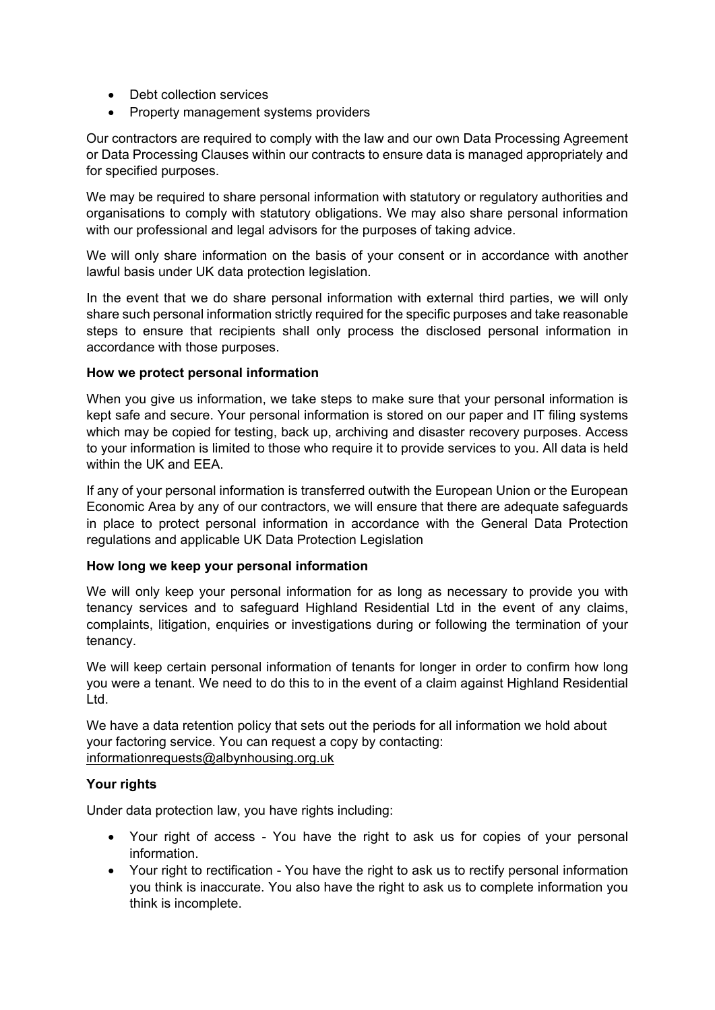- Debt collection services
- Property management systems providers

Our contractors are required to comply with the law and our own Data Processing Agreement or Data Processing Clauses within our contracts to ensure data is managed appropriately and for specified purposes.

We may be required to share personal information with statutory or requiatory authorities and organisations to comply with statutory obligations. We may also share personal information with our professional and legal advisors for the purposes of taking advice.

We will only share information on the basis of your consent or in accordance with another lawful basis under UK data protection legislation.

In the event that we do share personal information with external third parties, we will only share such personal information strictly required for the specific purposes and take reasonable steps to ensure that recipients shall only process the disclosed personal information in accordance with those purposes.

#### **How we protect personal information**

When you give us information, we take steps to make sure that your personal information is kept safe and secure. Your personal information is stored on our paper and IT filing systems which may be copied for testing, back up, archiving and disaster recovery purposes. Access to your information is limited to those who require it to provide services to you. All data is held within the UK and EEA.

If any of your personal information is transferred outwith the European Union or the European Economic Area by any of our contractors, we will ensure that there are adequate safeguards in place to protect personal information in accordance with the General Data Protection regulations and applicable UK Data Protection Legislation

#### **How long we keep your personal information**

We will only keep your personal information for as long as necessary to provide you with tenancy services and to safeguard Highland Residential Ltd in the event of any claims, complaints, litigation, enquiries or investigations during or following the termination of your tenancy.

We will keep certain personal information of tenants for longer in order to confirm how long you were a tenant. We need to do this to in the event of a claim against Highland Residential Ltd.

We have a data retention policy that sets out the periods for all information we hold about your factoring service. You can request a copy by contacting: [informationrequests@albynhousing.org.uk](mailto:informationrequests@albynhousing.org.uk)

# **Your rights**

Under data protection law, you have rights including:

- Your right of access You have the right to ask us for copies of your personal information.
- Your right to rectification You have the right to ask us to rectify personal information you think is inaccurate. You also have the right to ask us to complete information you think is incomplete.